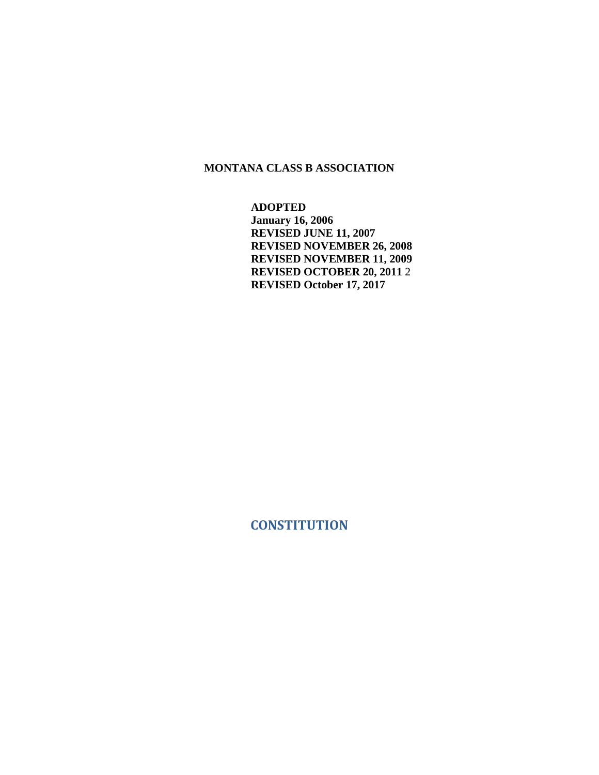#### **MONTANA CLASS B ASSOCIATION**

**ADOPTED January 16, 2006 REVISED JUNE 11, 2007 REVISED NOVEMBER 26, 2008 REVISED NOVEMBER 11, 2009 REVISED OCTOBER 20, 2011** 2 **REVISED October 17, 2017**

<span id="page-0-0"></span>**CONSTITUTION**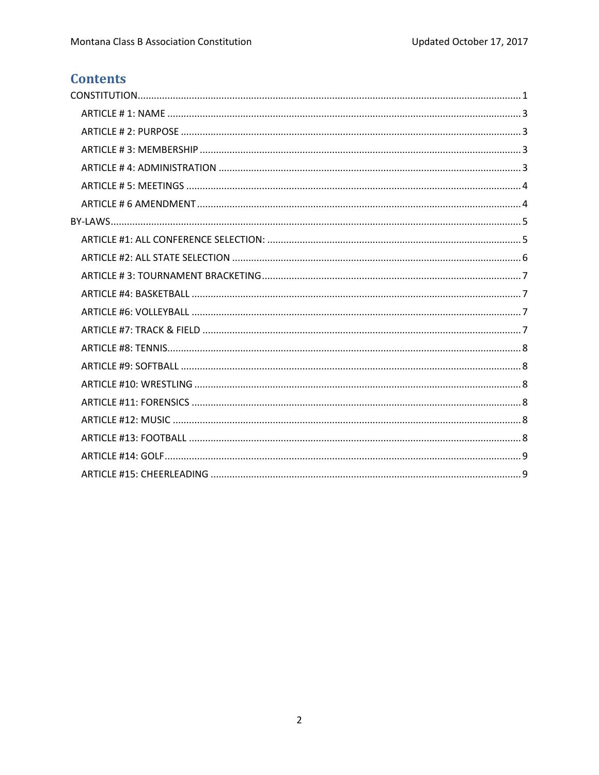# **Contents**

<span id="page-1-0"></span>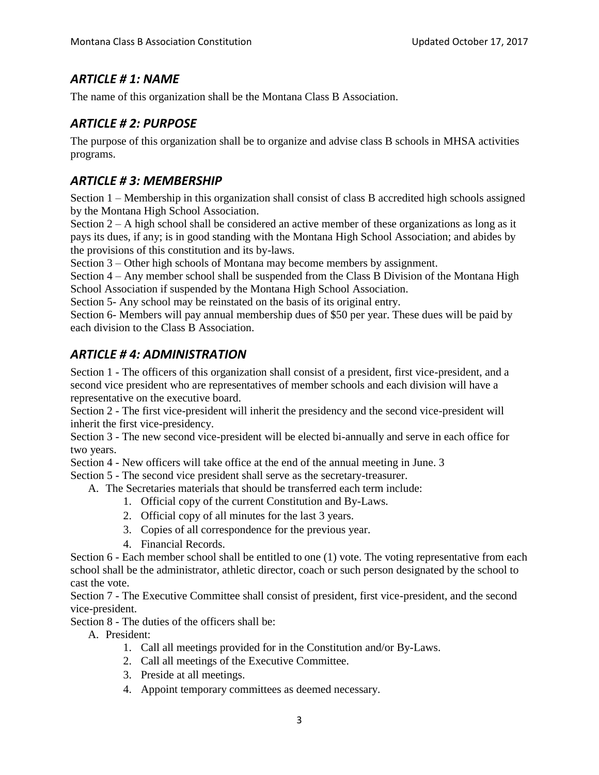## *ARTICLE # 1: NAME*

<span id="page-2-0"></span>The name of this organization shall be the Montana Class B Association.

## *ARTICLE # 2: PURPOSE*

The purpose of this organization shall be to organize and advise class B schools in MHSA activities programs.

## <span id="page-2-1"></span>*ARTICLE # 3: MEMBERSHIP*

Section 1 – Membership in this organization shall consist of class B accredited high schools assigned by the Montana High School Association.

Section  $2 - A$  high school shall be considered an active member of these organizations as long as it pays its dues, if any; is in good standing with the Montana High School Association; and abides by the provisions of this constitution and its by-laws.

Section 3 – Other high schools of Montana may become members by assignment.

Section 4 – Any member school shall be suspended from the Class B Division of the Montana High School Association if suspended by the Montana High School Association.

Section 5- Any school may be reinstated on the basis of its original entry.

Section 6- Members will pay annual membership dues of \$50 per year. These dues will be paid by each division to the Class B Association.

## <span id="page-2-2"></span>*ARTICLE # 4: ADMINISTRATION*

Section 1 - The officers of this organization shall consist of a president, first vice-president, and a second vice president who are representatives of member schools and each division will have a representative on the executive board.

Section 2 - The first vice-president will inherit the presidency and the second vice-president will inherit the first vice-presidency.

Section 3 - The new second vice-president will be elected bi-annually and serve in each office for two years.

Section 4 - New officers will take office at the end of the annual meeting in June. 3

Section 5 - The second vice president shall serve as the secretary-treasurer.

A. The Secretaries materials that should be transferred each term include:

- 1. Official copy of the current Constitution and By-Laws.
- 2. Official copy of all minutes for the last 3 years.
- 3. Copies of all correspondence for the previous year.
- 4. Financial Records.

Section 6 - Each member school shall be entitled to one (1) vote. The voting representative from each school shall be the administrator, athletic director, coach or such person designated by the school to cast the vote.

Section 7 - The Executive Committee shall consist of president, first vice-president, and the second vice-president.

Section 8 - The duties of the officers shall be:

A. President:

- 1. Call all meetings provided for in the Constitution and/or By-Laws.
- 2. Call all meetings of the Executive Committee.
- 3. Preside at all meetings.
- 4. Appoint temporary committees as deemed necessary.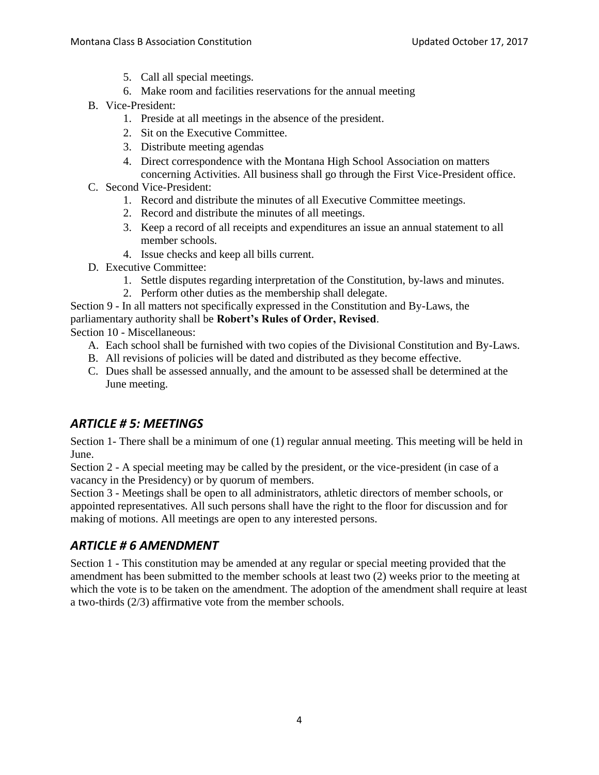- 5. Call all special meetings.
- 6. Make room and facilities reservations for the annual meeting
- B. Vice-President:
	- 1. Preside at all meetings in the absence of the president.
	- 2. Sit on the Executive Committee.
	- 3. Distribute meeting agendas
	- 4. Direct correspondence with the Montana High School Association on matters concerning Activities. All business shall go through the First Vice-President office.
- C. Second Vice-President:
	- 1. Record and distribute the minutes of all Executive Committee meetings.
	- 2. Record and distribute the minutes of all meetings.
	- 3. Keep a record of all receipts and expenditures an issue an annual statement to all member schools.
	- 4. Issue checks and keep all bills current.
- D. Executive Committee:
	- 1. Settle disputes regarding interpretation of the Constitution, by-laws and minutes.
	- 2. Perform other duties as the membership shall delegate.
- Section 9 In all matters not specifically expressed in the Constitution and By-Laws, the

## parliamentary authority shall be **Robert's Rules of Order, Revised**.

Section 10 - Miscellaneous:

- A. Each school shall be furnished with two copies of the Divisional Constitution and By-Laws.
- B. All revisions of policies will be dated and distributed as they become effective.
- C. Dues shall be assessed annually, and the amount to be assessed shall be determined at the June meeting.

## <span id="page-3-0"></span>*ARTICLE # 5: MEETINGS*

Section 1- There shall be a minimum of one (1) regular annual meeting. This meeting will be held in June.

Section 2 - A special meeting may be called by the president, or the vice-president (in case of a vacancy in the Presidency) or by quorum of members.

Section 3 - Meetings shall be open to all administrators, athletic directors of member schools, or appointed representatives. All such persons shall have the right to the floor for discussion and for making of motions. All meetings are open to any interested persons.

## <span id="page-3-1"></span>*ARTICLE # 6 AMENDMENT*

Section 1 - This constitution may be amended at any regular or special meeting provided that the amendment has been submitted to the member schools at least two (2) weeks prior to the meeting at which the vote is to be taken on the amendment. The adoption of the amendment shall require at least a two-thirds (2/3) affirmative vote from the member schools.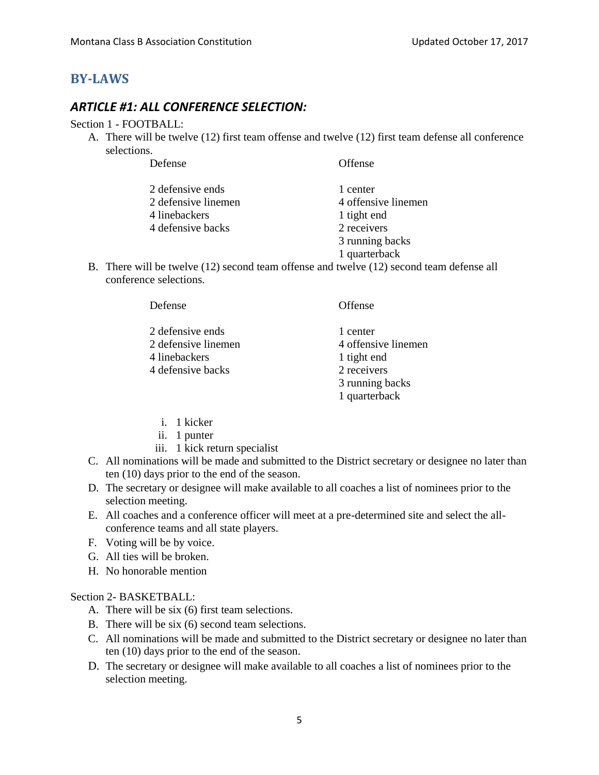## <span id="page-4-1"></span><span id="page-4-0"></span>**BY-LAWS**

### *ARTICLE #1: ALL CONFERENCE SELECTION:*

#### Section 1 - FOOTBALL:

A. There will be twelve (12) first team offense and twelve (12) first team defense all conference selections.

| Defense             | Offense             |
|---------------------|---------------------|
| 2 defensive ends    | 1 center            |
| 2 defensive linemen | 4 offensive linemen |
| 4 linebackers       | 1 tight end         |
| 4 defensive backs   | 2 receivers         |
|                     | 3 running backs     |
|                     | 1 quarterback       |

B. There will be twelve (12) second team offense and twelve (12) second team defense all conference selections.

| Defense             | Offense             |
|---------------------|---------------------|
| 2 defensive ends    | 1 center            |
| 2 defensive linemen | 4 offensive linemen |
| 4 linebackers       | 1 tight end         |
| 4 defensive backs   | 2 receivers         |
|                     | 3 running backs     |
|                     | 1 quarterback       |

- i. 1 kicker
- ii. 1 punter
- iii. 1 kick return specialist
- C. All nominations will be made and submitted to the District secretary or designee no later than ten (10) days prior to the end of the season.
- D. The secretary or designee will make available to all coaches a list of nominees prior to the selection meeting.
- E. All coaches and a conference officer will meet at a pre-determined site and select the allconference teams and all state players.
- F. Voting will be by voice.
- G. All ties will be broken.
- H. No honorable mention

#### Section 2- BASKETBALL:

- A. There will be six (6) first team selections.
- B. There will be six (6) second team selections.
- C. All nominations will be made and submitted to the District secretary or designee no later than ten (10) days prior to the end of the season.
- D. The secretary or designee will make available to all coaches a list of nominees prior to the selection meeting.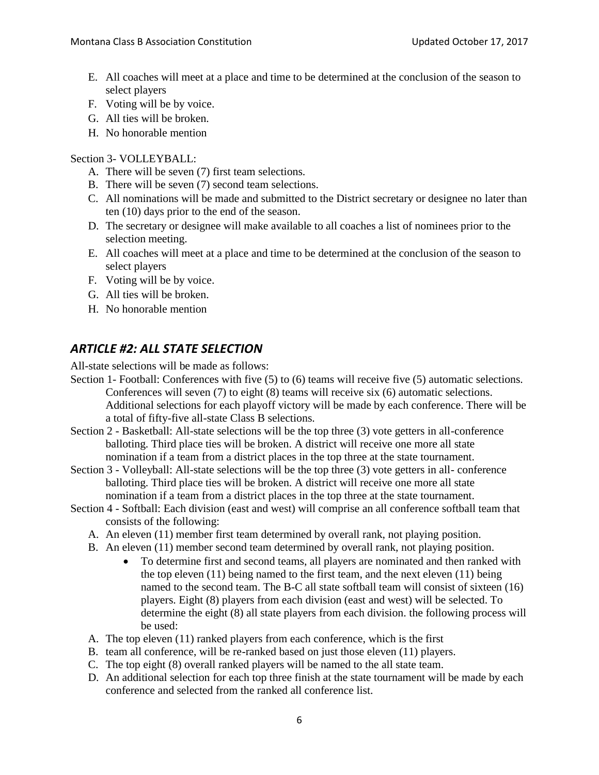- E. All coaches will meet at a place and time to be determined at the conclusion of the season to select players
- F. Voting will be by voice.
- G. All ties will be broken.
- H. No honorable mention

Section 3- VOLLEYBALL:

- A. There will be seven (7) first team selections.
- B. There will be seven (7) second team selections.
- C. All nominations will be made and submitted to the District secretary or designee no later than ten (10) days prior to the end of the season.
- D. The secretary or designee will make available to all coaches a list of nominees prior to the selection meeting.
- E. All coaches will meet at a place and time to be determined at the conclusion of the season to select players
- F. Voting will be by voice.
- G. All ties will be broken.
- H. No honorable mention

## <span id="page-5-0"></span>*ARTICLE #2: ALL STATE SELECTION*

All-state selections will be made as follows:

- Section 1- Football: Conferences with five (5) to (6) teams will receive five (5) automatic selections. Conferences will seven (7) to eight (8) teams will receive six (6) automatic selections. Additional selections for each playoff victory will be made by each conference. There will be a total of fifty-five all-state Class B selections.
- Section 2 Basketball: All-state selections will be the top three (3) vote getters in all-conference balloting. Third place ties will be broken. A district will receive one more all state nomination if a team from a district places in the top three at the state tournament.
- Section 3 Volleyball: All-state selections will be the top three (3) vote getters in all- conference balloting. Third place ties will be broken. A district will receive one more all state nomination if a team from a district places in the top three at the state tournament.
- Section 4 Softball: Each division (east and west) will comprise an all conference softball team that consists of the following:
	- A. An eleven (11) member first team determined by overall rank, not playing position.
	- B. An eleven (11) member second team determined by overall rank, not playing position.
		- To determine first and second teams, all players are nominated and then ranked with the top eleven (11) being named to the first team, and the next eleven (11) being named to the second team. The B-C all state softball team will consist of sixteen (16) players. Eight (8) players from each division (east and west) will be selected. To determine the eight (8) all state players from each division. the following process will be used:
	- A. The top eleven (11) ranked players from each conference, which is the first
	- B. team all conference, will be re-ranked based on just those eleven (11) players.
	- C. The top eight (8) overall ranked players will be named to the all state team.
	- D. An additional selection for each top three finish at the state tournament will be made by each conference and selected from the ranked all conference list.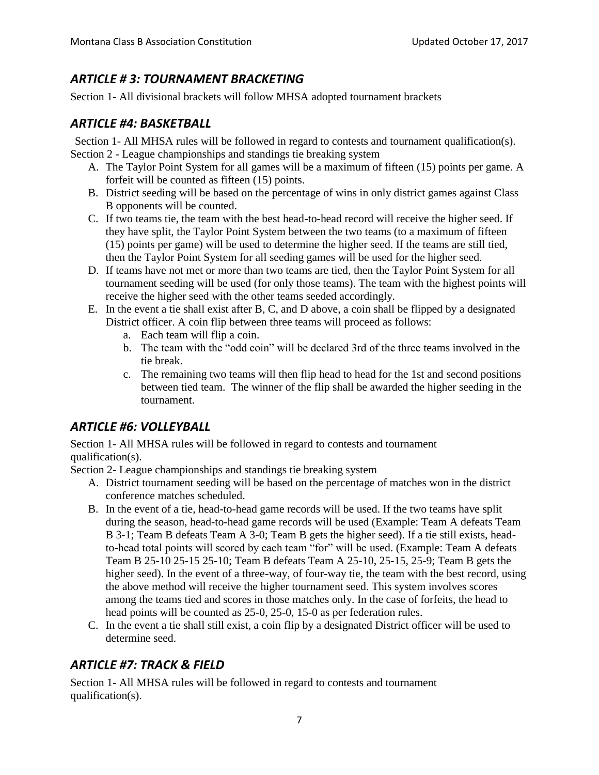## <span id="page-6-0"></span>*ARTICLE # 3: TOURNAMENT BRACKETING*

<span id="page-6-1"></span>Section 1- All divisional brackets will follow MHSA adopted tournament brackets

## *ARTICLE #4: BASKETBALL*

Section 1- All MHSA rules will be followed in regard to contests and tournament qualification(s). Section 2 - League championships and standings tie breaking system

- A. The Taylor Point System for all games will be a maximum of fifteen (15) points per game. A forfeit will be counted as fifteen (15) points.
- B. District seeding will be based on the percentage of wins in only district games against Class B opponents will be counted.
- C. If two teams tie, the team with the best head-to-head record will receive the higher seed. If they have split, the Taylor Point System between the two teams (to a maximum of fifteen (15) points per game) will be used to determine the higher seed. If the teams are still tied, then the Taylor Point System for all seeding games will be used for the higher seed.
- D. If teams have not met or more than two teams are tied, then the Taylor Point System for all tournament seeding will be used (for only those teams). The team with the highest points will receive the higher seed with the other teams seeded accordingly.
- E. In the event a tie shall exist after B, C, and D above, a coin shall be flipped by a designated District officer. A coin flip between three teams will proceed as follows:
	- a. Each team will flip a coin.
	- b. The team with the "odd coin" will be declared 3rd of the three teams involved in the tie break.
	- c. The remaining two teams will then flip head to head for the 1st and second positions between tied team. The winner of the flip shall be awarded the higher seeding in the tournament.

## <span id="page-6-2"></span>*ARTICLE #6: VOLLEYBALL*

Section 1- All MHSA rules will be followed in regard to contests and tournament qualification(s).

Section 2- League championships and standings tie breaking system

- A. District tournament seeding will be based on the percentage of matches won in the district conference matches scheduled.
- B. In the event of a tie, head-to-head game records will be used. If the two teams have split during the season, head-to-head game records will be used (Example: Team A defeats Team B 3-1; Team B defeats Team A 3-0; Team B gets the higher seed). If a tie still exists, headto-head total points will scored by each team "for" will be used. (Example: Team A defeats Team B 25-10 25-15 25-10; Team B defeats Team A 25-10, 25-15, 25-9; Team B gets the higher seed). In the event of a three-way, of four-way tie, the team with the best record, using the above method will receive the higher tournament seed. This system involves scores among the teams tied and scores in those matches only. In the case of forfeits, the head to head points will be counted as 25-0, 25-0, 15-0 as per federation rules.
- C. In the event a tie shall still exist, a coin flip by a designated District officer will be used to determine seed.

## <span id="page-6-3"></span>*ARTICLE #7: TRACK & FIELD*

Section 1- All MHSA rules will be followed in regard to contests and tournament qualification(s).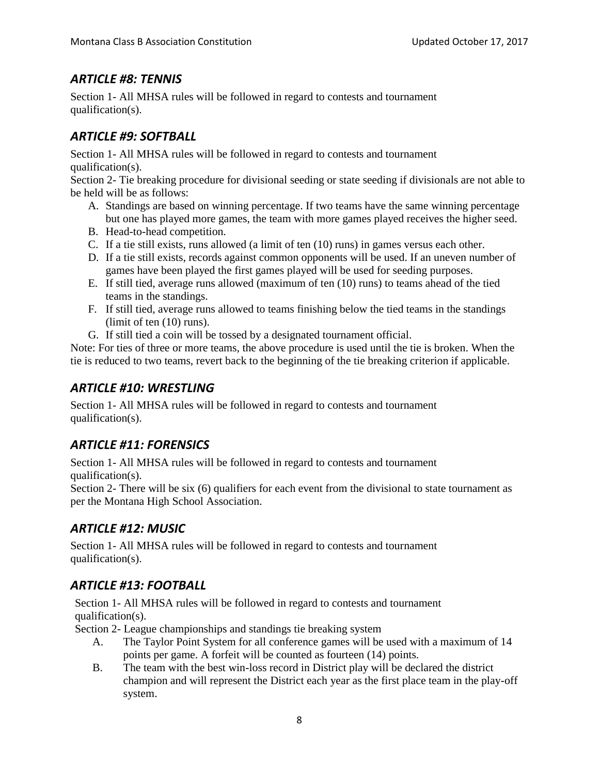## <span id="page-7-0"></span>*ARTICLE #8: TENNIS*

Section 1- All MHSA rules will be followed in regard to contests and tournament qualification(s).

## <span id="page-7-1"></span>*ARTICLE #9: SOFTBALL*

Section 1- All MHSA rules will be followed in regard to contests and tournament qualification(s).

Section 2- Tie breaking procedure for divisional seeding or state seeding if divisionals are not able to be held will be as follows:

- A. Standings are based on winning percentage. If two teams have the same winning percentage but one has played more games, the team with more games played receives the higher seed.
- B. Head-to-head competition.
- C. If a tie still exists, runs allowed (a limit of ten (10) runs) in games versus each other.
- D. If a tie still exists, records against common opponents will be used. If an uneven number of games have been played the first games played will be used for seeding purposes.
- E. If still tied, average runs allowed (maximum of ten (10) runs) to teams ahead of the tied teams in the standings.
- F. If still tied, average runs allowed to teams finishing below the tied teams in the standings (limit of ten (10) runs).
- G. If still tied a coin will be tossed by a designated tournament official.

Note: For ties of three or more teams, the above procedure is used until the tie is broken. When the tie is reduced to two teams, revert back to the beginning of the tie breaking criterion if applicable.

## <span id="page-7-2"></span>*ARTICLE #10: WRESTLING*

Section 1- All MHSA rules will be followed in regard to contests and tournament qualification(s).

## <span id="page-7-3"></span>*ARTICLE #11: FORENSICS*

Section 1- All MHSA rules will be followed in regard to contests and tournament qualification(s).

Section 2- There will be six (6) qualifiers for each event from the divisional to state tournament as per the Montana High School Association.

## <span id="page-7-4"></span>*ARTICLE #12: MUSIC*

Section 1- All MHSA rules will be followed in regard to contests and tournament qualification(s).

## <span id="page-7-5"></span>*ARTICLE #13: FOOTBALL*

Section 1- All MHSA rules will be followed in regard to contests and tournament qualification(s).

Section 2- League championships and standings tie breaking system

- A. The Taylor Point System for all conference games will be used with a maximum of 14 points per game. A forfeit will be counted as fourteen (14) points.
- B. The team with the best win-loss record in District play will be declared the district champion and will represent the District each year as the first place team in the play-off system.